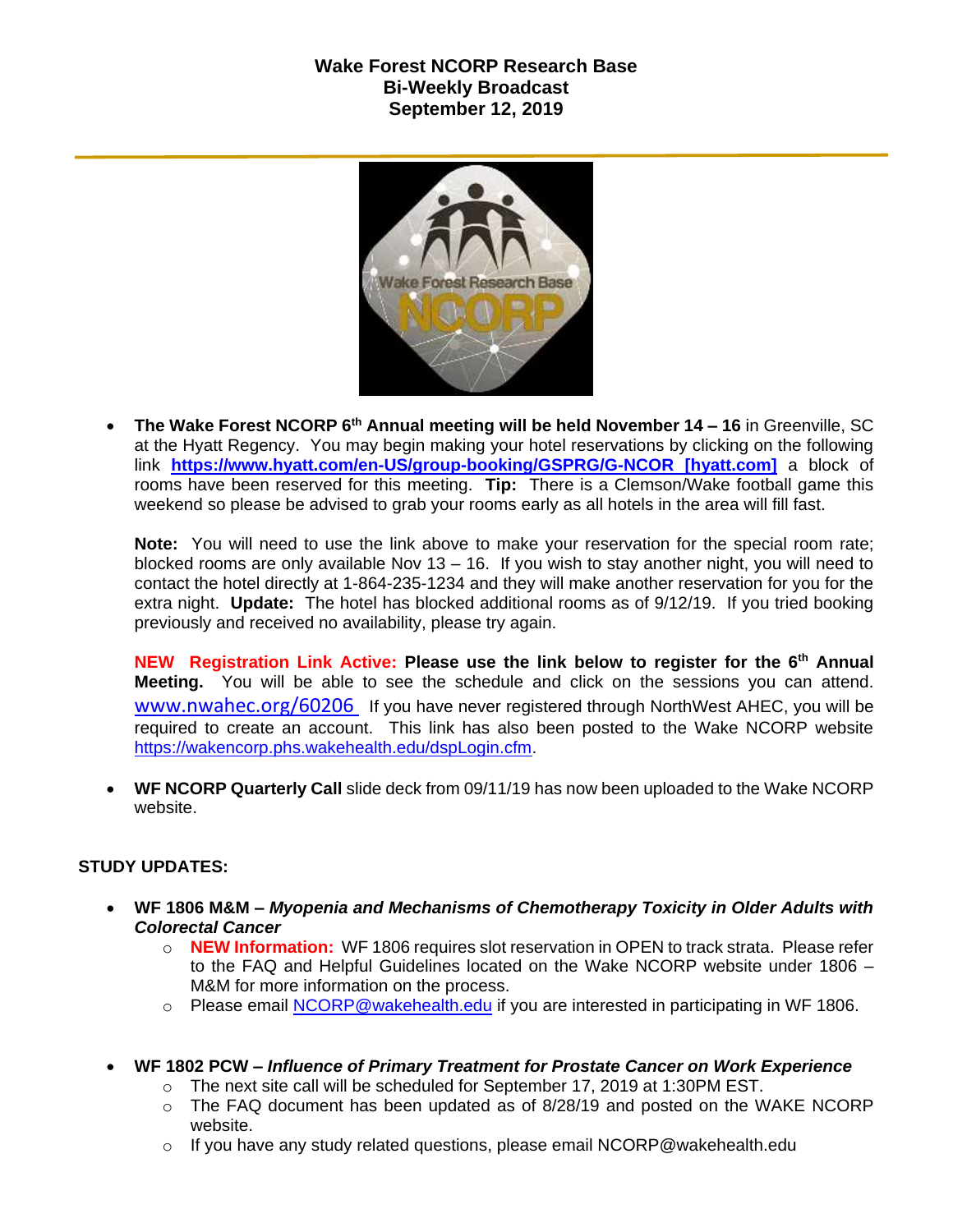## **Wake Forest NCORP Research Base Bi-Weekly Broadcast September 12, 2019**



 **The Wake Forest NCORP 6th Annual meeting will be held November 14 – 16** in Greenville, SC at the Hyatt Regency. You may begin making your hotel reservations by clicking on the following link **[https://www.hyatt.com/en-US/group-booking/GSPRG/G-NCOR \[hyatt.com\]](https://urldefense.proofpoint.com/v2/url?u=https-3A__www.hyatt.com_en-2DUS_group-2Dbooking_GSPRG_G-2DNCOR&d=DwMF-g&c=yzGiX0CSJAqkDTmENO9LmP6KfPQitNABR9M66gsTb5w&r=TnCUknn7SuuKiZZ9xYiqqVGRRW44n91mFcfkV4OTZdE&m=nMl5QpnTqZImfgmQv3WVuZH_olwfmfBEebqvflDwGVA&s=Jokja0iM_Zy6iN0skc6kDqNVUzyUA2YmjssaQyPU1jY&e=)** a block of rooms have been reserved for this meeting. **Tip:** There is a Clemson/Wake football game this weekend so please be advised to grab your rooms early as all hotels in the area will fill fast.

**Note:** You will need to use the link above to make your reservation for the special room rate; blocked rooms are only available Nov 13 – 16. If you wish to stay another night, you will need to contact the hotel directly at 1-864-235-1234 and they will make another reservation for you for the extra night. **Update:** The hotel has blocked additional rooms as of 9/12/19. If you tried booking previously and received no availability, please try again.

**NEW Registration Link Active: Please use the link below to register for the 6th Annual Meeting.** You will be able to see the schedule and click on the sessions you can attend. [www.nwahec.org/60206](http://www.nwahec.org/60206) If you have never registered through NorthWest AHEC, you will be required to create an account. This link has also been posted to the Wake NCORP website [https://wakencorp.phs.wakehealth.edu/dspLogin.cfm.](https://wakencorp.phs.wakehealth.edu/dspLogin.cfm)

 **WF NCORP Quarterly Call** slide deck from 09/11/19 has now been uploaded to the Wake NCORP website.

## **STUDY UPDATES:**

- **WF 1806 M&M –** *Myopenia and Mechanisms of Chemotherapy Toxicity in Older Adults with Colorectal Cancer*
	- o **NEW Information:** WF 1806 requires slot reservation in OPEN to track strata. Please refer to the FAQ and Helpful Guidelines located on the Wake NCORP website under 1806 – M&M for more information on the process.
	- $\circ$  Please email [NCORP@wakehealth.edu](mailto:NCORP@wakehealth.edu) if you are interested in participating in WF 1806.
- **WF 1802 PCW –** *Influence of Primary Treatment for Prostate Cancer on Work Experience*
	- $\circ$  The next site call will be scheduled for September 17, 2019 at 1:30PM EST.
	- $\circ$  The FAQ document has been updated as of 8/28/19 and posted on the WAKE NCORP website.
	- $\circ$  If you have any study related questions, please email NCORP@wakehealth.edu